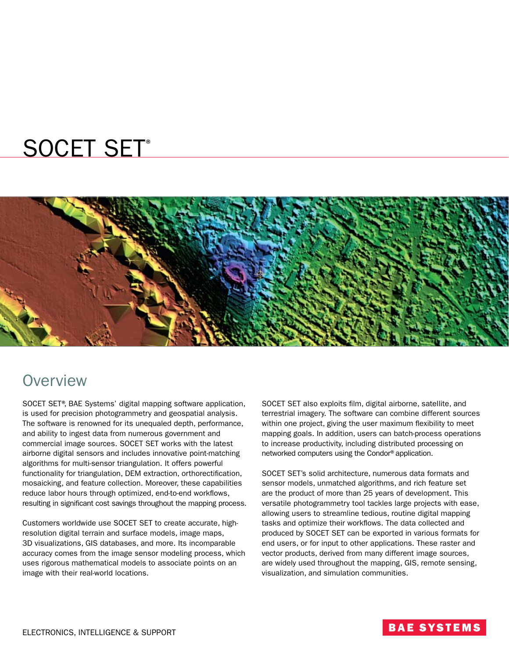# SOCET SET®



### **Overview**

SOCET SET®, BAE Systems' digital mapping software application, is used for precision photogrammetry and geospatial analysis. The software is renowned for its unequaled depth, performance, and ability to ingest data from numerous government and commercial image sources. SOCET SET works with the latest airborne digital sensors and includes innovative point-matching algorithms for multi-sensor triangulation. It offers powerful functionality for triangulation, DEM extraction, orthorectification, mosaicking, and feature collection. Moreover, these capabilities reduce labor hours through optimized, end-to-end workflows, resulting in significant cost savings throughout the mapping process.

Customers worldwide use SOCET SET to create accurate, highresolution digital terrain and surface models, image maps, 3D visualizations, GIS databases, and more. Its incomparable accuracy comes from the image sensor modeling process, which uses rigorous mathematical models to associate points on an image with their real-world locations.

SOCET SET also exploits film, digital airborne, satellite, and terrestrial imagery. The software can combine different sources within one project, giving the user maximum flexibility to meet mapping goals. In addition, users can batch-process operations to increase productivity, including distributed processing on networked computers using the Condor® application.

SOCET SET's solid architecture, numerous data formats and sensor models, unmatched algorithms, and rich feature set are the product of more than 25 years of development. This versatile photogrammetry tool tackles large projects with ease, allowing users to streamline tedious, routine digital mapping tasks and optimize their workflows. The data collected and produced by SOCET SET can be exported in various formats for end users, or for input to other applications. These raster and vector products, derived from many different image sources, are widely used throughout the mapping, GIS, remote sensing, visualization, and simulation communities.

### **BAE SYSTEMS**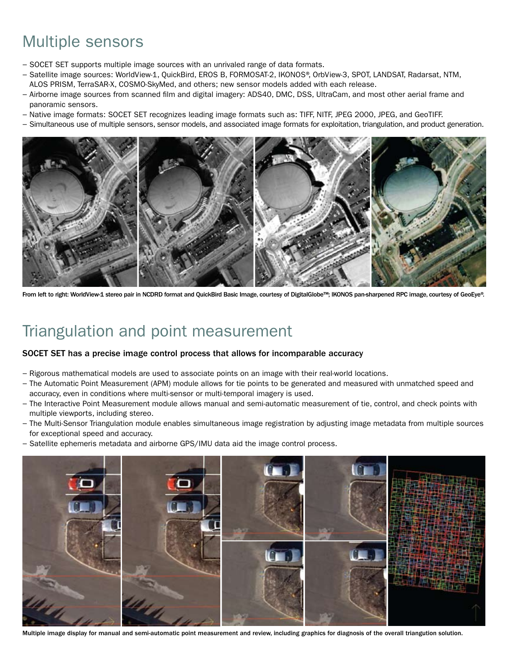# Multiple sensors

- − SOCET SET supports multiple image sources with an unrivaled range of data formats.
- − Satellite image sources: WorldView-1, QuickBird, EROS B, FORMOSAT-2, IKONOS®, OrbView-3, SPOT, LANDSAT, Radarsat, NTM, ALOS PRISM, TerraSAR-X, COSMO-SkyMed, and others; new sensor models added with each release.
- − Airborne image sources from scanned film and digital imagery: ADS40, DMC, DSS, UltraCam, and most other aerial frame and panoramic sensors.
- − Native image formats: SOCET SET recognizes leading image formats such as: TIFF, NITF, JPEG 2000, JPEG, and GeoTIFF.
- − Simultaneous use of multiple sensors, sensor models, and associated image formats for exploitation, triangulation, and product generation.



From left to right: WorldView-1 stereo pair in NCDRD format and QuickBird Basic Image, courtesy of DigitalGlobe™; IKONOS pan-sharpened RPC image, courtesy of GeoEye®.

### Triangulation and point measurement

#### SOCET SET has a precise image control process that allows for incomparable accuracy

- − Rigorous mathematical models are used to associate points on an image with their real-world locations.
- − The Automatic Point Measurement (APM) module allows for tie points to be generated and measured with unmatched speed and accuracy, even in conditions where multi-sensor or multi-temporal imagery is used.
- − The Interactive Point Measurement module allows manual and semi-automatic measurement of tie, control, and check points with multiple viewports, including stereo.
- − The Multi-Sensor Triangulation module enables simultaneous image registration by adjusting image metadata from multiple sources for exceptional speed and accuracy.
- − Satellite ephemeris metadata and airborne GPS/IMU data aid the image control process.



Multiple image display for manual and semi-automatic point measurement and review, including graphics for diagnosis of the overall triangution solution.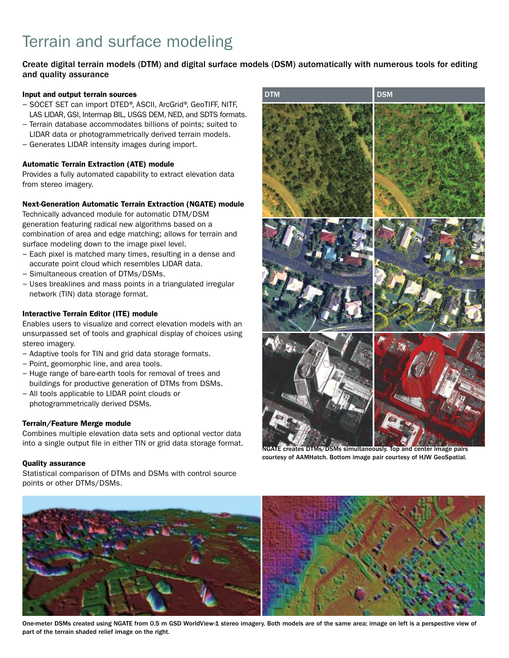# Terrain and surface modeling

Create digital terrain models (DTM) and digital surface models (DSM) automatically with numerous tools for editing and quality assurance

#### Input and output terrain sources

- − SOCET SET can import DTED®, ASCII, ArcGrid®, GeoTIFF, NITF, LAS LIDAR, GSI, Intermap BIL, USGS DEM, NED, and SDTS formats.
- − Terrain database accommodates billions of points; suited to LIDAR data or photogrammetrically derived terrain models.
- − Generates LIDAR intensity images during import.

#### Automatic Terrain Extraction (ATE) module

Provides a fully automated capability to extract elevation data from stereo imagery.

#### Next-Generation Automatic Terrain Extraction (NGATE) module

Technically advanced module for automatic DTM/DSM generation featuring radical new algorithms based on a combination of area and edge matching; allows for terrain and surface modeling down to the image pixel level.

- − Each pixel is matched many times, resulting in a dense and accurate point cloud which resembles LIDAR data.
- − Simultaneous creation of DTMs/DSMs.
- − Uses breaklines and mass points in a triangulated irregular network (TIN) data storage format.

#### Interactive Terrain Editor (ITE) module

Enables users to visualize and correct elevation models with an unsurpassed set of tools and graphical display of choices using stereo imagery.

- − Adaptive tools for TIN and grid data storage formats.
- − Point, geomorphic line, and area tools.
- − Huge range of bare-earth tools for removal of trees and buildings for productive generation of DTMs from DSMs.
- − All tools applicable to LIDAR point clouds or photogrammetrically derived DSMs.

#### Terrain/Feature Merge module

Combines multiple elevation data sets and optional vector data into a single output file in either TIN or grid data storage format.

#### Quality assurance

Statistical comparison of DTMs and DSMs with control source points or other DTMs/DSMs.



NGATE creates DTMs/DSMs simultaneously. Top and center image pairs courtesy of AAMHatch. Bottom image pair courtesy of HJW GeoSpatial.



One-meter DSMs created using NGATE from 0.5 m GSD WorldView-1 stereo imagery. Both models are of the same area; image on left is a perspective view of part of the terrain shaded relief image on the right.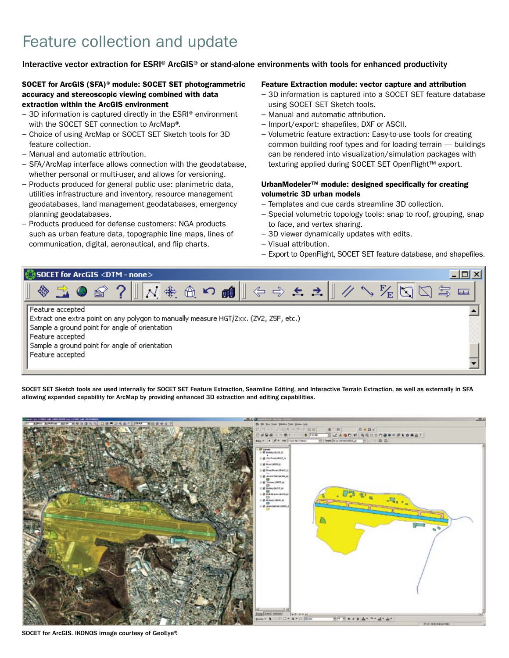# Feature collection and update

### Interactive vector extraction for ESRI® ArcGIS® or stand-alone environments with tools for enhanced productivity

#### SOCET for ArcGIS (SFA)<sup>®</sup> module: SOCET SET photogrammetric accuracy and stereoscopic viewing combined with data extraction within the ArcGIS environment

- − 3D information is captured directly in the ESRI® environment with the SOCET SET connection to ArcMap®.
- − Choice of using ArcMap or SOCET SET Sketch tools for 3D feature collection.
- − Manual and automatic attribution.
- − SFA/ArcMap interface allows connection with the geodatabase, whether personal or multi-user, and allows for versioning.
- − Products produced for general public use: planimetric data, utilities infrastructure and inventory, resource management geodatabases, land management geodatabases, emergency planning geodatabases.
- − Products produced for defense customers: NGA products such as urban feature data, topographic line maps, lines of communication, digital, aeronautical, and flip charts.

#### Feature Extraction module: vector capture and attribution

- − 3D information is captured into a SOCET SET feature database using SOCET SET Sketch tools.
- − Manual and automatic attribution.
- − Import/export: shapefiles, DXF or ASCII.
- − Volumetric feature extraction: Easy-to-use tools for creating common building roof types and for loading terrain — buildings can be rendered into visualization/simulation packages with texturing applied during SOCET SET OpenFlight™ export.

#### UrbanModeler™ module: designed specifically for creating volumetric 3D urban models

- − Templates and cue cards streamline 3D collection.
- − Special volumetric topology tools: snap to roof, grouping, snap to face, and vertex sharing.
- − 3D viewer dynamically updates with edits.
- − Visual attribution.
- − Export to OpenFlight, SOCET SET feature database, and shapefiles.



SOCET SET Sketch tools are used internally for SOCET SET Feature Extraction, Seamline Editing, and Interactive Terrain Extraction, as well as externally in SFA allowing expanded capability for ArcMap by providing enhanced 3D extraction and editing capabilities.

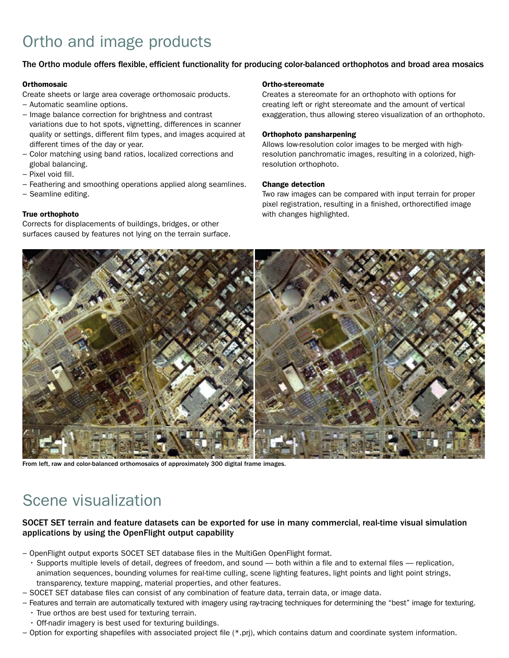# Ortho and image products

### The Ortho module offers flexible, efficient functionality for producing color-balanced orthophotos and broad area mosaics

#### **Orthomosaic**

Create sheets or large area coverage orthomosaic products.

- − Automatic seamline options.
- − Image balance correction for brightness and contrast variations due to hot spots, vignetting, differences in scanner quality or settings, different film types, and images acquired at different times of the day or year.
- − Color matching using band ratios, localized corrections and global balancing.
- − Pixel void fill.
- − Feathering and smoothing operations applied along seamlines.
- − Seamline editing.

#### True orthophoto

Corrects for displacements of buildings, bridges, or other surfaces caused by features not lying on the terrain surface.

#### Ortho-stereomate

Creates a stereomate for an orthophoto with options for creating left or right stereomate and the amount of vertical exaggeration, thus allowing stereo visualization of an orthophoto.

#### Orthophoto pansharpening

Allows low-resolution color images to be merged with highresolution panchromatic images, resulting in a colorized, highresolution orthophoto.

#### Change detection

Two raw images can be compared with input terrain for proper pixel registration, resulting in a finished, orthorectified image with changes highlighted.



From left, raw and color-balanced orthomosaics of approximately 300 digital frame images.

## Scene visualization

### SOCET SET terrain and feature datasets can be exported for use in many commercial, real-time visual simulation applications by using the OpenFlight output capability

- − OpenFlight output exports SOCET SET database files in the MultiGen OpenFlight format.
	- • Supports multiple levels of detail, degrees of freedom, and sound both within a file and to external files replication, animation sequences, bounding volumes for real-time culling, scene lighting features, light points and light point strings, transparency, texture mapping, material properties, and other features.
- − SOCET SET database files can consist of any combination of feature data, terrain data, or image data.
- − Features and terrain are automatically textured with imagery using ray-tracing techniques for determining the "best" image for texturing. • True orthos are best used for texturing terrain.
	- Off-nadir imagery is best used for texturing buildings.
- − Option for exporting shapefiles with associated project file (\*.prj), which contains datum and coordinate system information.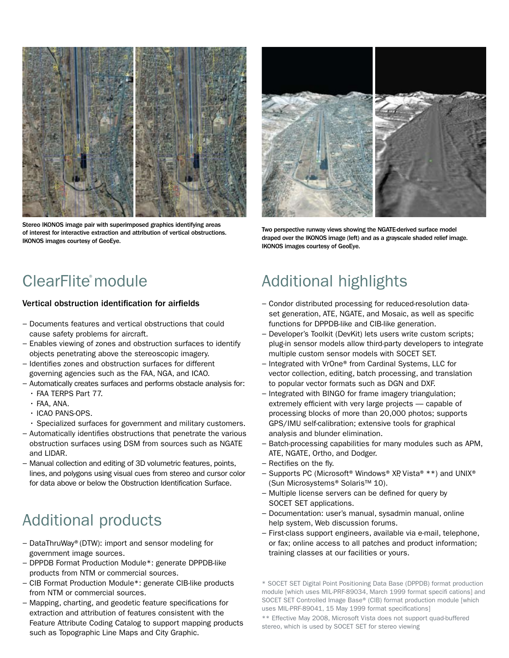

Stereo IKONOS image pair with superimposed graphics identifying areas of interest for interactive extraction and attribution of vertical obstructions. IKONOS images courtesy of GeoEye.



Two perspective runway views showing the NGATE-derived surface model draped over the IKONOS image (left) and as a grayscale shaded relief image. IKONOS images courtesy of GeoEye.

# ClearFlite® module

### Vertical obstruction identification for airfields

- − Documents features and vertical obstructions that could cause safety problems for aircraft.
- − Enables viewing of zones and obstruction surfaces to identify objects penetrating above the stereoscopic imagery.
- − Identifies zones and obstruction surfaces for different governing agencies such as the FAA, NGA, and ICAO.
- − Automatically creates surfaces and performs obstacle analysis for: • FAA TERPS Part 77.
	- $·$  FAA, ANA.
	- $\cdot$  ICAO PANS-OPS.
	- • Specialized surfaces for government and military customers.
- − Automatically identifies obstructions that penetrate the various obstruction surfaces using DSM from sources such as NGATE and LIDAR.
- − Manual collection and editing of 3D volumetric features, points, lines, and polygons using visual cues from stereo and cursor color for data above or below the Obstruction Identification Surface.

# Additional products

- − DataThruWay® (DTW): import and sensor modeling for government image sources.
- − DPPDB Format Production Module\*: generate DPPDB-like products from NTM or commercial sources.
- − CIB Format Production Module\*: generate CIB-like products from NTM or commercial sources.
- − Mapping, charting, and geodetic feature specifications for extraction and attribution of features consistent with the Feature Attribute Coding Catalog to support mapping products such as Topographic Line Maps and City Graphic.

# Additional highlights

- − Condor distributed processing for reduced-resolution dataset generation, ATE, NGATE, and Mosaic, as well as specific functions for DPPDB-like and CIB-like generation.
- − Developer's Toolkit (DevKit) lets users write custom scripts; plug-in sensor models allow third-party developers to integrate multiple custom sensor models with SOCET SET.
- − Integrated with VrOne® from Cardinal Systems, LLC for vector collection, editing, batch processing, and translation to popular vector formats such as DGN and DXF.
- − Integrated with BINGO for frame imagery triangulation; extremely efficient with very large projects — capable of processing blocks of more than 20,000 photos; supports GPS/IMU self-calibration; extensive tools for graphical analysis and blunder elimination.
- − Batch-processing capabilities for many modules such as APM, ATE, NGATE, Ortho, and Dodger.
- − Rectifies on the fly.
- − Supports PC (Microsoft® Windows® XP, Vista®\*\*) and UNIX® (Sun Microsystems® Solaris™ 10).
- − Multiple license servers can be defined for query by SOCET SET applications.
- − Documentation: user's manual, sysadmin manual, online help system, Web discussion forums.
- − First-class support engineers, available via e-mail, telephone, or fax; online access to all patches and product information; training classes at our facilities or yours.

\* SOCET SET Digital Point Positioning Data Base (DPPDB) format production module [which uses MIL-PRF-89034, March 1999 format specifi cations] and SOCET SET Controlled Image Base® (CIB) format production module [which uses MIL-PRF-89041, 15 May 1999 format specifications]

\*\* Effective May 2008, Microsoft Vista does not support quad-buffered stereo, which is used by SOCET SET for stereo viewing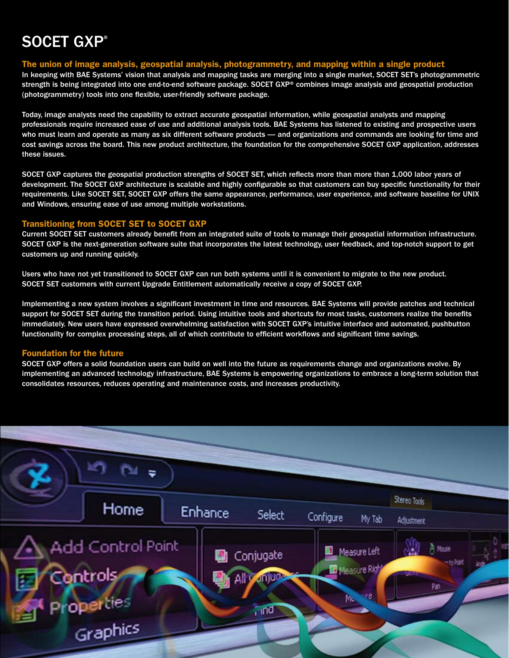# SOCET GXP®

#### The union of image analysis, geospatial analysis, photogrammetry, and mapping within a single product

In keeping with BAE Systems' vision that analysis and mapping tasks are merging into a single market, SOCET SET's photogrammetric strength is being integrated into one end-to-end software package. SOCET GXP® combines image analysis and geospatial production (photogrammetry) tools into one flexible, user-friendly software package.

Today, image analysts need the capability to extract accurate geospatial information, while geospatial analysts and mapping professionals require increased ease of use and additional analysis tools. BAE Systems has listened to existing and prospective users who must learn and operate as many as six different software products — and organizations and commands are looking for time and cost savings across the board. This new product architecture, the foundation for the comprehensive SOCET GXP application, addresses these issues.

SOCET GXP captures the geospatial production strengths of SOCET SET, which reflects more than more than 1,000 labor years of development. The SOCET GXP architecture is scalable and highly configurable so that customers can buy specific functionality for their requirements. Like SOCET SET, SOCET GXP offers the same appearance, performance, user experience, and software baseline for UNIX and Windows, ensuring ease of use among multiple workstations.

### Transitioning from SOCET SET to SOCET GXP

Current SOCET SET customers already benefit from an integrated suite of tools to manage their geospatial information infrastructure. SOCET GXP is the next-generation software suite that incorporates the latest technology, user feedback, and top-notch support to get customers up and running quickly.

Users who have not yet transitioned to SOCET GXP can run both systems until it is convenient to migrate to the new product. SOCET SET customers with current Upgrade Entitlement automatically receive a copy of SOCET GXP.

Implementing a new system involves a significant investment in time and resources. BAE Systems will provide patches and technical support for SOCET SET during the transition period. Using intuitive tools and shortcuts for most tasks, customers realize the benefits immediately. New users have expressed overwhelming satisfaction with SOCET GXP's intuitive interface and automated, pushbutton functionality for complex processing steps, all of which contribute to efficient workflows and significant time savings.

#### Foundation for the future

SOCET GXP offers a solid foundation users can build on well into the future as requirements change and organizations evolve. By implementing an advanced technology infrastructure, BAE Systems is empowering organizations to embrace a long-term solution that consolidates resources, reduces operating and maintenance costs, and increases productivity.